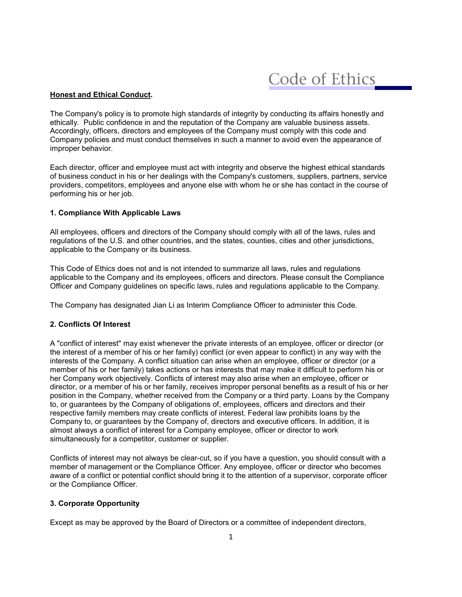Code of Ethics

### **Honest and Ethical Conduct.**

The Company's policy is to promote high standards of integrity by conducting its affairs honestly and ethically. Public confidence in and the reputation of the Company are valuable business assets. Accordingly, officers, directors and employees of the Company must comply with this code and Company policies and must conduct themselves in such a manner to avoid even the appearance of improper behavior.

Each director, officer and employee must act with integrity and observe the highest ethical standards of business conduct in his or her dealings with the Company's customers, suppliers, partners, service providers, competitors, employees and anyone else with whom he or she has contact in the course of performing his or her job.

## **1. Compliance With Applicable Laws**

All employees, officers and directors of the Company should comply with all of the laws, rules and regulations of the U.S. and other countries, and the states, counties, cities and other jurisdictions, applicable to the Company or its business.

This Code of Ethics does not and is not intended to summarize all laws, rules and regulations applicable to the Company and its employees, officers and directors. Please consult the Compliance Officer and Company guidelines on specific laws, rules and regulations applicable to the Company.

The Company has designated Jian Li as Interim Compliance Officer to administer this Code.

# **2. Conflicts Of Interest**

A "conflict of interest" may exist whenever the private interests of an employee, officer or director (or the interest of a member of his or her family) conflict (or even appear to conflict) in any way with the interests of the Company. A conflict situation can arise when an employee, officer or director (or a member of his or her family) takes actions or has interests that may make it difficult to perform his or her Company work objectively. Conflicts of interest may also arise when an employee, officer or director, or a member of his or her family, receives improper personal benefits as a result of his or her position in the Company, whether received from the Company or a third party. Loans by the Company to, or guarantees by the Company of obligations of, employees, officers and directors and their respective family members may create conflicts of interest. Federal law prohibits loans by the Company to, or guarantees by the Company of, directors and executive officers. In addition, it is almost always a conflict of interest for a Company employee, officer or director to work simultaneously for a competitor, customer or supplier.

Conflicts of interest may not always be clear-cut, so if you have a question, you should consult with a member of management or the Compliance Officer. Any employee, officer or director who becomes aware of a conflict or potential conflict should bring it to the attention of a supervisor, corporate officer or the Compliance Officer.

# **3. Corporate Opportunity**

Except as may be approved by the Board of Directors or a committee of independent directors,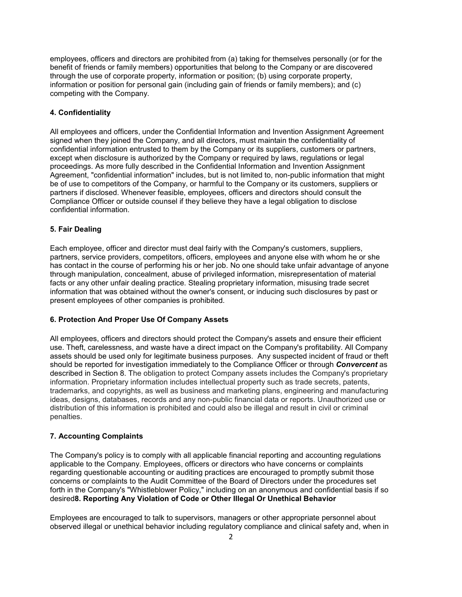employees, officers and directors are prohibited from (a) taking for themselves personally (or for the benefit of friends or family members) opportunities that belong to the Company or are discovered through the use of corporate property, information or position; (b) using corporate property, information or position for personal gain (including gain of friends or family members); and (c) competing with the Company.

# **4. Confidentiality**

All employees and officers, under the Confidential Information and Invention Assignment Agreement signed when they joined the Company, and all directors, must maintain the confidentiality of confidential information entrusted to them by the Company or its suppliers, customers or partners, except when disclosure is authorized by the Company or required by laws, regulations or legal proceedings. As more fully described in the Confidential Information and Invention Assignment Agreement, "confidential information" includes, but is not limited to, non-public information that might be of use to competitors of the Company, or harmful to the Company or its customers, suppliers or partners if disclosed. Whenever feasible, employees, officers and directors should consult the Compliance Officer or outside counsel if they believe they have a legal obligation to disclose confidential information.

# **5. Fair Dealing**

Each employee, officer and director must deal fairly with the Company's customers, suppliers, partners, service providers, competitors, officers, employees and anyone else with whom he or she has contact in the course of performing his or her job. No one should take unfair advantage of anyone through manipulation, concealment, abuse of privileged information, misrepresentation of material facts or any other unfair dealing practice. Stealing proprietary information, misusing trade secret information that was obtained without the owner's consent, or inducing such disclosures by past or present employees of other companies is prohibited.

# **6. Protection And Proper Use Of Company Assets**

All employees, officers and directors should protect the Company's assets and ensure their efficient use. Theft, carelessness, and waste have a direct impact on the Company's profitability. All Company assets should be used only for legitimate business purposes. Any suspected incident of fraud or theft should be reported for investigation immediately to the Compliance Officer or through *Convercent* as described in Section 8. The obligation to protect Company assets includes the Company's proprietary information. Proprietary information includes intellectual property such as trade secrets, patents, trademarks, and copyrights, as well as business and marketing plans, engineering and manufacturing ideas, designs, databases, records and any non-public financial data or reports. Unauthorized use or distribution of this information is prohibited and could also be illegal and result in civil or criminal penalties.

# **7. Accounting Complaints**

The Company's policy is to comply with all applicable financial reporting and accounting regulations applicable to the Company. Employees, officers or directors who have concerns or complaints regarding questionable accounting or auditing practices are encouraged to promptly submit those concerns or complaints to the Audit Committee of the Board of Directors under the procedures set forth in the Company's "Whistleblower Policy," including on an anonymous and confidential basis if so desired**8. Reporting Any Violation of Code or Other Illegal Or Unethical Behavior** 

Employees are encouraged to talk to supervisors, managers or other appropriate personnel about observed illegal or unethical behavior including regulatory compliance and clinical safety and, when in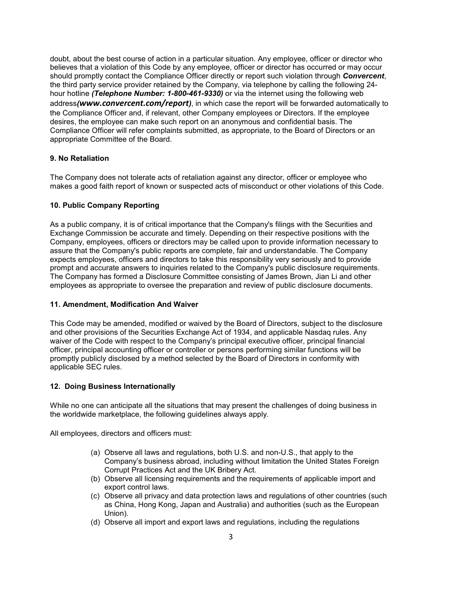doubt, about the best course of action in a particular situation. Any employee, officer or director who believes that a violation of this Code by any employee, officer or director has occurred or may occur should promptly contact the Compliance Officer directly or report such violation through *Convercent*, the third party service provider retained by the Company, via telephone by calling the following 24 hour hotline *(Telephone Number: 1-800-461-9330)* or via the internet using the following web address*([www.convercent.com/report](http://www.convercent.com/report))*, in which case the report will be forwarded automatically to the Compliance Officer and, if relevant, other Company employees or Directors. If the employee desires, the employee can make such report on an anonymous and confidential basis. The Compliance Officer will refer complaints submitted, as appropriate, to the Board of Directors or an appropriate Committee of the Board.

## **9. No Retaliation**

The Company does not tolerate acts of retaliation against any director, officer or employee who makes a good faith report of known or suspected acts of misconduct or other violations of this Code.

## **10. Public Company Reporting**

As a public company, it is of critical importance that the Company's filings with the Securities and Exchange Commission be accurate and timely. Depending on their respective positions with the Company, employees, officers or directors may be called upon to provide information necessary to assure that the Company's public reports are complete, fair and understandable. The Company expects employees, officers and directors to take this responsibility very seriously and to provide prompt and accurate answers to inquiries related to the Company's public disclosure requirements. The Company has formed a Disclosure Committee consisting of James Brown, Jian Li and other employees as appropriate to oversee the preparation and review of public disclosure documents.

### **11. Amendment, Modification And Waiver**

This Code may be amended, modified or waived by the Board of Directors, subject to the disclosure and other provisions of the Securities Exchange Act of 1934, and applicable Nasdaq rules. Any waiver of the Code with respect to the Company's principal executive officer, principal financial officer, principal accounting officer or controller or persons performing similar functions will be promptly publicly disclosed by a method selected by the Board of Directors in conformity with applicable SEC rules.

### **12. Doing Business Internationally**

While no one can anticipate all the situations that may present the challenges of doing business in the worldwide marketplace, the following guidelines always apply.

All employees, directors and officers must:

- (a) Observe all laws and regulations, both U.S. and non-U.S., that apply to the Company's business abroad, including without limitation the United States Foreign Corrupt Practices Act and the UK Bribery Act.
- (b) Observe all licensing requirements and the requirements of applicable import and export control laws.
- (c) Observe all privacy and data protection laws and regulations of other countries (such as China, Hong Kong, Japan and Australia) and authorities (such as the European Union).
- (d) Observe all import and export laws and regulations, including the regulations